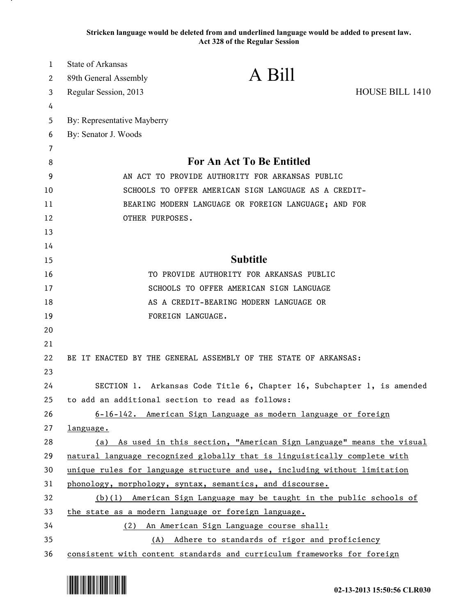**Stricken language would be deleted from and underlined language would be added to present law. Act 328 of the Regular Session**

| 1  | State of Arkansas                                    |                                                                           |                        |
|----|------------------------------------------------------|---------------------------------------------------------------------------|------------------------|
| 2  | 89th General Assembly                                | A Bill                                                                    |                        |
| 3  | Regular Session, 2013                                |                                                                           | <b>HOUSE BILL 1410</b> |
| 4  |                                                      |                                                                           |                        |
| 5  | By: Representative Mayberry                          |                                                                           |                        |
| 6  | By: Senator J. Woods                                 |                                                                           |                        |
| 7  |                                                      |                                                                           |                        |
| 8  | <b>For An Act To Be Entitled</b>                     |                                                                           |                        |
| 9  | AN ACT TO PROVIDE AUTHORITY FOR ARKANSAS PUBLIC      |                                                                           |                        |
| 10 | SCHOOLS TO OFFER AMERICAN SIGN LANGUAGE AS A CREDIT- |                                                                           |                        |
| 11 | BEARING MODERN LANGUAGE OR FOREIGN LANGUAGE; AND FOR |                                                                           |                        |
| 12 | OTHER PURPOSES.                                      |                                                                           |                        |
| 13 |                                                      |                                                                           |                        |
| 14 |                                                      |                                                                           |                        |
| 15 |                                                      | <b>Subtitle</b>                                                           |                        |
| 16 |                                                      | TO PROVIDE AUTHORITY FOR ARKANSAS PUBLIC                                  |                        |
| 17 |                                                      | SCHOOLS TO OFFER AMERICAN SIGN LANGUAGE                                   |                        |
| 18 |                                                      | AS A CREDIT-BEARING MODERN LANGUAGE OR                                    |                        |
| 19 |                                                      | FOREIGN LANGUAGE.                                                         |                        |
| 20 |                                                      |                                                                           |                        |
| 21 |                                                      |                                                                           |                        |
| 22 |                                                      | BE IT ENACTED BY THE GENERAL ASSEMBLY OF THE STATE OF ARKANSAS:           |                        |
| 23 |                                                      |                                                                           |                        |
| 24 |                                                      | SECTION 1. Arkansas Code Title 6, Chapter 16, Subchapter 1, is amended    |                        |
| 25 |                                                      | to add an additional section to read as follows:                          |                        |
| 26 |                                                      | 6-16-142. American Sign Language as modern language or foreign            |                        |
| 27 | <u>language.</u>                                     |                                                                           |                        |
| 28 |                                                      | (a) As used in this section, "American Sign Language" means the visual    |                        |
| 29 |                                                      | natural language recognized globally that is linguistically complete with |                        |
| 30 |                                                      | unique rules for language structure and use, including without limitation |                        |
| 31 |                                                      | phonology, morphology, syntax, semantics, and discourse.                  |                        |
| 32 |                                                      | (b)(1) American Sign Language may be taught in the public schools of      |                        |
| 33 | the state as a modern language or foreign language.  |                                                                           |                        |
| 34 |                                                      | (2) An American Sign Language course shall:                               |                        |
| 35 |                                                      | (A) Adhere to standards of rigor and proficiency                          |                        |
| 36 |                                                      | consistent with content standards and curriculum frameworks for foreign   |                        |